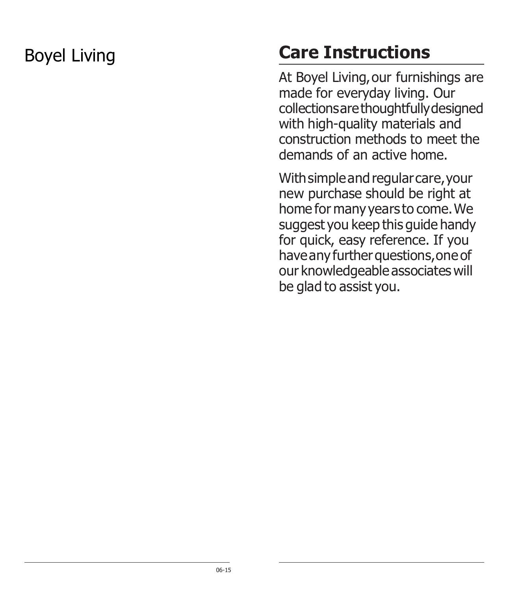# Boyel Living **Care Instructions**

At Boyel Living, our furnishings are made for everyday living. Our collectionsarethoughtfullydesigned with high-quality materials and construction methods to meet the demands of an active home.

With simple and regular care, your new purchase should be right at home for many years to come.We suggest you keep this guide handy for quick, easy reference. If you have any further questions, one of our knowledgeable associates will be glad to assist you.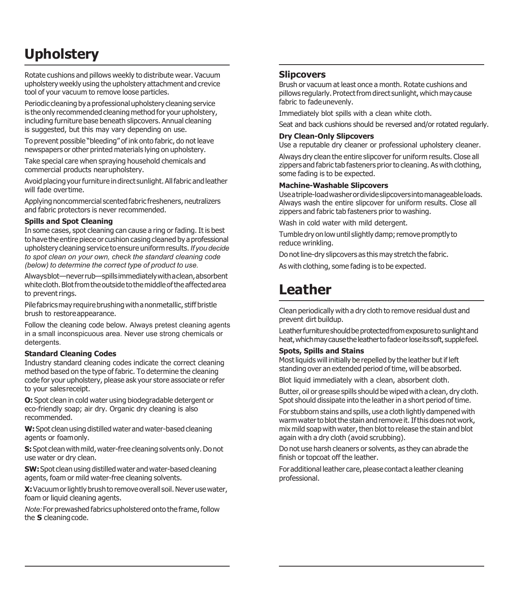# **Upholstery**

Rotate cushions and pillows weekly to distribute wear. Vacuum upholstery weekly using the upholstery attachment and crevice tool of your vacuum to remove loose particles.

Periodic cleaning by a professional upholstery cleaning service is the only recommended cleaning method for your upholstery, including furniture base beneath slipcovers. Annual cleaning is suggested, but this may vary depending on use.

To prevent possible "bleeding" of ink onto fabric, do not leave newspapers or other printed materials lying on upholstery.

Take special care when spraying household chemicals and commercial products nearupholstery.

Avoid placing your furniture in direct sunlight. All fabric and leather will fade overtime.

Applying noncommercial scented fabric fresheners, neutralizers and fabric protectors is never recommended.

#### **Spills and Spot Cleaning**

In some cases, spot cleaning can cause a ring or fading. It is best to have the entire piece or cushion casing cleaned by a professional upholstery cleaningservice to ensure uniform results.*If youdecide to spot clean on your own, check the standard cleaning code (below) to determine the correct type of product to use.*

Alwaysblot—neverrub—spillsimmediatelywithaclean,absorbent whitecloth.Blotfromtheoutsidetothemiddleoftheaffectedarea to prevent rings.

Pile fabrics may require brushing with a nonmetallic, stiff bristle brush to restoreappearance.

Follow the cleaning code below. Always pretest cleaning agents in a small inconspicuous area. Never use strong chemicals or detergents.

#### **Standard Cleaning Codes**

Industry standard cleaning codes indicate the correct cleaning method based on the type of fabric. To determine the cleaning code for your upholstery, please ask your store associate or refer to your salesreceipt.

**O:** Spot clean in cold water using biodegradable detergent or eco-friendly soap; air dry. Organic dry cleaning is also recommended.

W: Spot clean using distilled water and water-based cleaning agents or foamonly.

**S:** Spot clean with mild, water-free cleaning solvents only. Do not use water or dry clean.

**SW:** Spot clean using distilled water and water-based cleaning agents, foam or mild water-free cleaning solvents.

**X:** Vacuum or lightly brush to remove overall soil. Never use water, foam or liquid cleaning agents.

*Note:* For prewashed fabrics upholstered onto the frame, follow the **S** cleaningcode.

### **Slipcovers**

Brush or vacuum at least once a month. Rotate cushions and pillows regularly. Protect from direct sunlight, which may cause fabric to fadeunevenly.

Immediately blot spills with a clean white cloth.

Seat and back cushions should be reversed and/or rotated regularly.

#### **Dry Clean-Only Slipcovers**

Use a reputable dry cleaner or professional upholstery cleaner.

Always dry clean the entire slipcover for uniform results. Close all zippers and fabric tab fasteners prior to cleaning. As with clothing, some fading is to be expected.

#### **Machine-Washable Slipcovers**

Useatriple-loadwasherordivideslipcoversintomanageableloads. Always wash the entire slipcover for uniform results. Close all zippers and fabric tab fasteners prior to washing.

Wash in cold water with mild detergent.

Tumble dry on low until slightly damp; remove promptly to reduce wrinkling.

Do not line-dry slipcovers as this may stretch the fabric.

As with clothing, some fading is to be expected.

# **Leather**

Clean periodically with adry cloth to remove residual dust and prevent dirt buildup.

Leatherfurnitureshouldbe protectedfromexposureto sunlightand heat, which may cause the leather to fade or lose its soft, supple feel.

#### **Spots, Spills and Stains**

Most liquids will initially be repelled by the leather but if left standing over an extended period of time, will be absorbed.

Blot liquid immediately with a clean, absorbent cloth.

Butter, oil or grease spills should be wiped with a clean, dry cloth. Spot should dissipate into the leather in a short period of time.

For stubborn stains and spills, use a cloth lightly dampened with warm water to blot the stain and remove it. If this does not work, mix mild soap with water, then blot to release the stain and blot again with a dry cloth (avoid scrubbing).

Do not use harsh cleaners or solvents, as they can abrade the finish or topcoat off the leather.

For additional leather care, please contact a leather cleaning professional.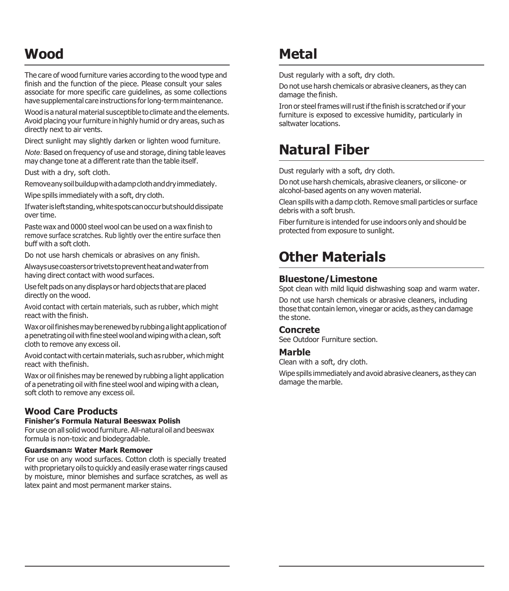# **Wood**

The care of wood furniture varies according to the wood type and finish and the function of the piece. Please consult your sales associate for more specific care guidelines, as some collections have supplemental care instructions for long-term maintenance.

Wood is a natural material susceptible to climate and the elements. Avoid placing your furniture in highly humid or dry areas, such as directly next to air vents.

Direct sunlight may slightly darken or lighten wood furniture.

*Note:* Based on frequency of use and storage, dining table leaves may change tone at a different rate than the table itself.

Dust with a dry, soft cloth.

Removeanysoilbuildupwithadampclothanddryimmediately.

Wipe spills immediately with a soft, dry cloth.

Ifwaterisleftstanding,whitespotscanoccurbutshoulddissipate over time.

Paste wax and 0000 steel wool can be used on a wax finish to remove surface scratches. Rub lightly over the entire surface then buff with a soft cloth.

Do not use harsh chemicals or abrasives on any finish.

Alwaysusecoastersortrivetstopreventheatandwaterfrom having direct contact with wood surfaces.

Usefelt pads on any displays or hard objects that are placed directly on the wood.

Avoid contact with certain materials, such as rubber, which might react with the finish.

Wax or oil finishes may be renewed by rubbing a light application of a penetrating oil with fine steel wool and wiping with a clean, soft cloth to remove any excess oil.

Avoid contact with certain materials, such as rubber, which might react with thefinish.

Wax or oil finishes may be renewed by rubbing a light application of a penetrating oil with fine steel wooland wiping with a clean, soft cloth to remove any excess oil.

# **Wood Care Products**

### **Finisher's Formula Natural Beeswax Polish**

Foruse on all solid wood furniture. All-natural oil and beeswax formula is non-toxic and biodegradable.

#### **Guardsman≈ Water Mark Remover**

For use on any wood surfaces. Cotton cloth is specially treated with proprietary oils to quickly and easily erase water rings caused by moisture, minor blemishes and surface scratches, as well as latex paint and most permanent marker stains.

# **Metal**

Dust regularly with a soft, dry cloth.

Do not use harsh chemicals or abrasive cleaners, as they can damage the finish.

Iron or steel frames will rust if the finish is scratched or if your furniture is exposed to excessive humidity, particularly in saltwater locations.

# **Natural Fiber**

Dust regularly with a soft, dry cloth.

Do not use harsh chemicals, abrasive cleaners, or silicone- or alcohol-based agents on any woven material.

Clean spills with a damp cloth. Remove small particles or surface debris with a soft brush.

Fiber furniture is intended for use indoors only and should be protected from exposure to sunlight.

# **Other Materials**

# **Bluestone/Limestone**

Spot clean with mild liquid dishwashing soap and warm water.

Do not use harsh chemicals or abrasive cleaners, including those that contain lemon, vinegar or acids, as they can damage the stone.

### **Concrete**

See Outdoor Furniture section.

### **Marble**

Clean with a soft, dry cloth.

Wipe spills immediately and avoid abrasive cleaners, as they can damage the marble.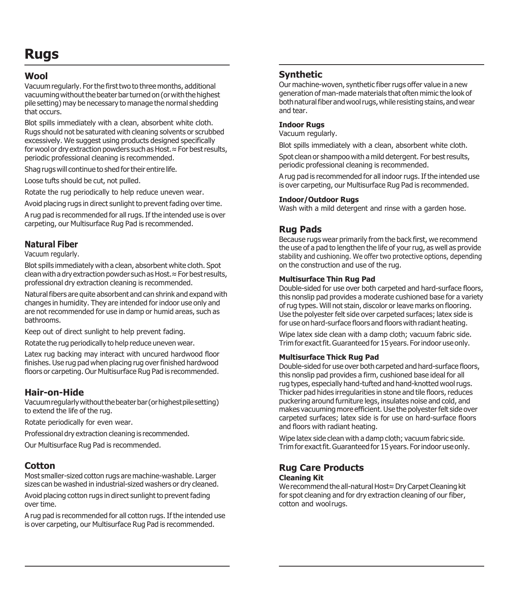# **Rugs**

# **Wool**

Vacuum regularly. For the first two to three months, additional vacuuming without the beater barturned on (or with the highest pile setting) may be necessary to manage the normal shedding that occurs.

Blot spills immediately with a clean, absorbent white cloth. Rugs should not be saturated with cleaning solvents or scrubbed excessively. We suggest using products designed specifically for wool or dry extraction powders such as Host.≈For best results, periodic professional cleaning is recommended.

Shag rugs will continue to shed for their entire life.

Loose tufts should be cut, not pulled.

Rotate the rug periodically to help reduce uneven wear.

Avoid placing rugs in direct sunlight to prevent fading over time.

A rug pad is recommended for all rugs. If the intended use is over carpeting, our Multisurface Rug Pad is recommended.

# **Natural Fiber**

Vacuum regularly.

Blot spills immediately with aclean, absorbent white cloth. Spot clean with a dry extraction powder such as Host.≈For best results, professional dry extraction cleaning is recommended.

Naturalfibers are quite absorbent and can shrink and expand with changes in humidity. They are intended for indoor use only and are not recommended for use in damp or humid areas, such as bathrooms.

Keep out of direct sunlight to help prevent fading.

Rotate the rug periodically to help reduce uneven wear.

Latex rug backing may interact with uncured hardwood floor finishes. Use rug pad when placing rug overfinished hardwood floors or carpeting. Our Multisurface Rug Pad is recommended.

# **Hair-on-Hide**

Vacuumregularlywithoutthebeaterbar(orhighestpilesetting) to extend the life of the rug.

Rotate periodically for even wear.

Professional dry extraction cleaning is recommended.

Our Multisurface Rug Pad is recommended.

# **Cotton**

Most smaller-sized cotton rugs are machine-washable. Larger sizes can be washed in industrial-sized washers or dry cleaned.

Avoid placing cotton rugs in direct sunlight to prevent fading over time.

A rug pad is recommended for all cotton rugs. If the intended use is over carpeting, our Multisurface Rug Pad is recommended.

# **Synthetic**

Our machine-woven, synthetic fiberrugs offer value in a new generation of man-made materials that often mimic the look of both natural fiber and wool rugs, while resisting stains, and wear and tear.

### **Indoor Rugs**

Vacuum regularly.

Blot spills immediately with a clean, absorbent white cloth.

Spot clean or shampoo with amild detergent. For bestresults, periodic professional cleaning is recommended.

A rug pad is recommended for all indoor rugs. If the intended use is over carpeting, our Multisurface Rug Pad is recommended.

### **Indoor/Outdoor Rugs**

Wash with a mild detergent and rinse with a garden hose.

# **Rug Pads**

Because rugs wear primarily from the back first, we recommend the use of a pad to lengthen the life of your rug, as well as provide stability and cushioning. We offer two protective options, depending on the construction and use of the rug.

### **Multisurface Thin Rug Pad**

Double-sided for use over both carpeted and hard-surface floors, this nonslip pad provides a moderate cushioned base for a variety ofrug types. Will not stain, discolor or leave marks on flooring. Use the polyester felt side over carpeted surfaces; latex side is for use on hard-surface floors and floors with radiant heating.

Wipe latex side clean with a damp cloth; vacuum fabric side. Trimfor exactfit.Guaranteedfor 15years. Forindoor useonly.

### **Multisurface Thick Rug Pad**

Double-sided for use over both carpeted and hard-surface floors, this nonslip pad provides a firm, cushioned base ideal for all rug types, especially hand-tufted and hand-knotted woolrugs. Thicker pad hides irregularities in stone and tile floors, reduces puckering around furniture legs, insulates noise and cold, and makes vacuuming more efficient. Use the polyester felt side over carpeted surfaces; latex side is for use on hard-surface floors and floors with radiant heating.

Wipe latex side clean with a damp cloth; vacuum fabric side. Trimfor exactfit.Guaranteedfor 15years. Forindoor useonly.

#### **Rug Care Products Cleaning Kit**

We recommend the all-natural Host≈Dry Carpet Cleaning kit for spot cleaning and for dry extraction cleaning of our fiber, cotton and woolrugs.